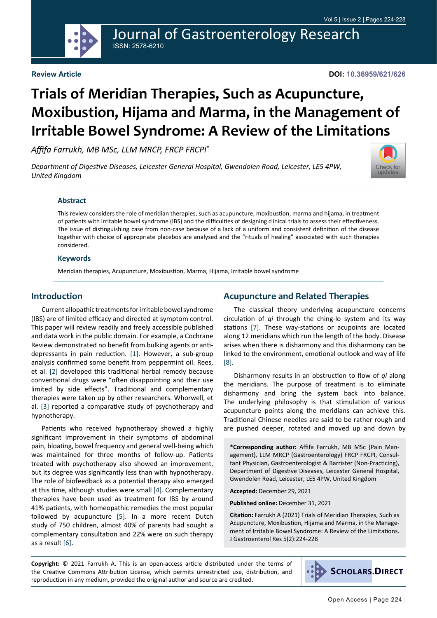Journal of Gastroenterology Research ISSN: 2578-6210

#### **Review Article**

**DOI: 10.36959/621/626**

# **Trials of Meridian Therapies, Such as Acupuncture, Moxibustion, Hijama and Marma, in the Management of Irritable Bowel Syndrome: A Review of the Limitations**

*Affifa Farrukh, MB MSc, LLM MRCP, FRCP FRCPI\**

*Department of Digestive Diseases, Leicester General Hospital, Gwendolen Road, Leicester, LE5 4PW, United Kingdom*



#### **Abstract**

This review considers the role of meridian therapies, such as acupuncture, moxibustion, marma and hijama, in treatment of patients with irritable bowel syndrome (IBS) and the difficulties of designing clinical trials to assess their effectiveness. The issue of distinguishing case from non-case because of a lack of a uniform and consistent definition of the disease together with choice of appropriate placebos are analysed and the "rituals of healing" associated with such therapies considered.

#### **Keywords**

Meridian therapies, Acupuncture, Moxibustion, Marma, Hijama, Irritable bowel syndrome

## **Introduction**

Current allopathic treatments for irritable bowel syndrome (IBS) are of limited efficacy and directed at symptom control. This paper will review readily and freely accessible published and data work in the public domain. For example, a Cochrane Review demonstrated no benefit from bulking agents or antidepressants in pain reduction. [\[1\]](#page-3-0). However, a sub-group analysis confirmed some benefit from peppermint oil. Rees, et al. [[2\]](#page-3-1) developed this traditional herbal remedy because conventional drugs were "often disappointing and their use limited by side effects". Traditional and complementary therapies were taken up by other researchers. Whorwell, et al. [[3\]](#page-3-2) reported a comparative study of psychotherapy and hypnotherapy.

Patients who received hypnotherapy showed a highly significant improvement in their symptoms of abdominal pain, bloating, bowel frequency and general well-being which was maintained for three months of follow-up. Patients treated with psychotherapy also showed an improvement, but its degree was significantly less than with hypnotherapy. The role of biofeedback as a potential therapy also emerged at this time, although studies were small [\[4](#page-3-3)]. Complementary therapies have been used as treatment for IBS by around 41% patients, with homeopathic remedies the most popular followed by acupuncture [\[5](#page-3-4)]. In a more recent Dutch study of 750 children, almost 40% of parents had sought a complementary consultation and 22% were on such therapy as a result [\[6](#page-3-5)].

## **Acupuncture and Related Therapies**

The classical theory underlying acupuncture concerns circulation of *qi* through the ching-lo system and its way stations [[7\]](#page-3-6). These way-stations or acupoints are located along 12 meridians which run the length of the body. Disease arises when there is disharmony and this disharmony can be linked to the environment, emotional outlook and way of life [[8\]](#page-3-7).

Disharmony results in an obstruction to flow of *qi* along the meridians. The purpose of treatment is to eliminate disharmony and bring the system back into balance. The underlying philosophy is that stimulation of various acupuncture points along the meridians can achieve this. Traditional Chinese needles are said to be rather rough and are pushed deeper, rotated and moved up and down by

**\*Corresponding author:** Affifa Farrukh, MB MSc (Pain Management), LLM MRCP (Gastroenterology) FRCP FRCPI, Consultant Physician, Gastroenterologist & Barrister (Non-Practicing), Department of Digestive Diseases, Leicester General Hospital, Gwendolen Road, Leicester, LE5 4PW, United Kingdom

**Accepted:** December 29, 2021

**Published online:** December 31, 2021

**Citation:** Farrukh A (2021) Trials of Meridian Therapies, Such as Acupuncture, Moxibustion, Hijama and Marma, in the Management of Irritable Bowel Syndrome: A Review of the Limitations. J Gastroenterol Res 5(2):224-228

**Copyright:** © 2021 Farrukh A. This is an open-access article distributed under the terms of the Creative Commons Attribution License, which permits unrestricted use, distribution, and reproduction in any medium, provided the original author and source are credited.

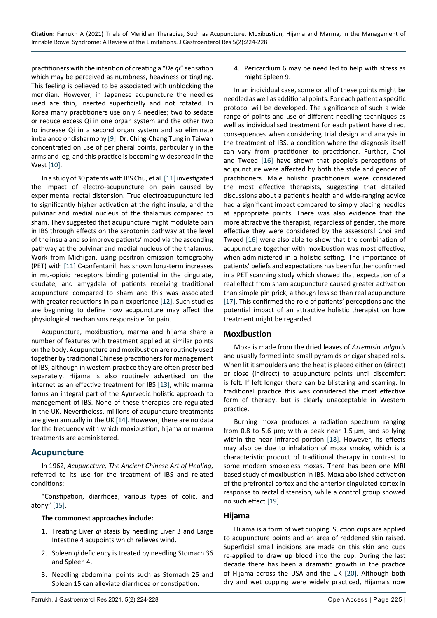practitioners with the intention of creating a "*De qi*" sensation which may be perceived as numbness, heaviness or tingling. This feeling is believed to be associated with unblocking the meridian. However, in Japanese acupuncture the needles used are thin, inserted superficially and not rotated. In Korea many practitioners use only 4 needles; two to sedate or reduce excess Qi in one organ system and the other two to increase Qi in a second organ system and so eliminate imbalance or disharmony [\[9](#page-3-13)]. Dr. Ching-Chang Tung in Taiwan concentrated on use of peripheral points, particularly in the arms and leg, and this practice is becoming widespread in the West [[10](#page-3-14)].

In a study of 30 patents with IBS Chu, et al. [\[11](#page-3-15)] investigated the impact of electro-acupuncture on pain caused by experimental rectal distension. True electroacupuncture led to significantly higher activation at the right insula, and the pulvinar and medial nucleus of the thalamus compared to sham. They suggested that acupuncture might modulate pain in IBS through effects on the serotonin pathway at the level of the insula and so improve patients' mood via the ascending pathway at the pulvinar and medial nucleus of the thalamus. Work from Michigan, using positron emission tomography (PET) with [\[11](#page-3-15)] C-carfentanil, has shown long-term increases in mu-opioid receptors binding potential in the cingulate, caudate, and amygdala of patients receiving traditional acupuncture compared to sham and this was associated with greater reductions in pain experience [[12\]](#page-3-16). Such studies are beginning to define how acupuncture may affect the physiological mechanisms responsible for pain.

Acupuncture, moxibustion, marma and hijama share a number of features with treatment applied at similar points on the body. Acupuncture and moxibustion are routinely used together by traditional Chinese practitioners for management of IBS, although in western practice they are often prescribed separately. Hijama is also routinely advertised on the internet as an effective treatment for IBS [\[13](#page-3-17)], while marma forms an integral part of the Ayurvedic holistic approach to management of IBS. None of these therapies are regulated in the UK. Nevertheless, millions of acupuncture treatments are given annually in the UK [[14\]](#page-3-18). However, there are no data for the frequency with which moxibustion, hijama or marma treatments are administered.

## **Acupuncture**

In 1962, *Acupuncture, The Ancient Chinese Art of Healing*, referred to its use for the treatment of IBS and related conditions:

"Constipation, diarrhoea, various types of colic, and atony" [\[15](#page-3-19)].

#### **The commonest approaches include:**

- 1. Treating Liver *qi* stasis by needling Liver 3 and Large Intestine 4 acupoints which relieves wind.
- 2. Spleen *qi* deficiency is treated by needling Stomach 36 and Spleen 4.
- 3. Needling abdominal points such as Stomach 25 and Spleen 15 can alleviate diarrhoea or constipation.

4. Pericardium 6 may be need led to help with stress as might Spleen 9.

In an individual case, some or all of these points might be needled as well as additional points. For each patient a specific protocol will be developed. The significance of such a wide range of points and use of different needling techniques as well as individualised treatment for each patient have direct consequences when considering trial design and analysis in the treatment of IBS, a condition where the diagnosis itself can vary from practitioner to practitioner. Further, Choi and Tweed [\[16](#page-3-8)] have shown that people's perceptions of acupuncture were affected by both the style and gender of practitioners. Male holistic practitioners were considered the most effective therapists, suggesting that detailed discussions about a patient's health and wide-ranging advice had a significant impact compared to simply placing needles at appropriate points. There was also evidence that the more attractive the therapist, regardless of gender, the more effective they were considered by the assessors! Choi and Tweed [\[16](#page-3-8)] were also able to show that the combination of acupuncture together with moxibustion was most effective, when administered in a holistic setting. The importance of patients' beliefs and expectations has been further confirmed in a PET scanning study which showed that expectation of a real effect from sham acupuncture caused greater activation than simple pin prick, although less so than real acupuncture [[17\]](#page-3-9). This confirmed the role of patients' perceptions and the potential impact of an attractive holistic therapist on how treatment might be regarded.

## **Moxibustion**

Moxa is made from the dried leaves of *Artemisia vulgaris* and usually formed into small pyramids or cigar shaped rolls. When lit it smoulders and the heat is placed either on (direct) or close (indirect) to acupuncture points until discomfort is felt. If left longer there can be blistering and scarring. In traditional practice this was considered the most effective form of therapy, but is clearly unacceptable in Western practice.

Burning moxa produces a radiation spectrum ranging from 0.8 to 5.6  $\mu$ m; with a peak near 1.5  $\mu$ m, and so lying within the near infrared portion [[18\]](#page-3-10). However, its effects may also be due to inhalation of moxa smoke, which is a characteristic product of traditional therapy in contrast to some modern smokeless moxas. There has been one MRI based study of moxibustion in IBS. Moxa abolished activation of the prefrontal cortex and the anterior cingulated cortex in response to rectal distension, while a control group showed no such effect [\[19](#page-3-11)].

#### **Hijama**

Hiiama is a form of wet cupping. Suction cups are applied to acupuncture points and an area of reddened skin raised. Superficial small incisions are made on this skin and cups re-applied to draw up blood into the cup. During the last decade there has been a dramatic growth in the practice of Hijama across the USA and the UK [[20\]](#page-3-12). Although both dry and wet cupping were widely practiced, Hijamais now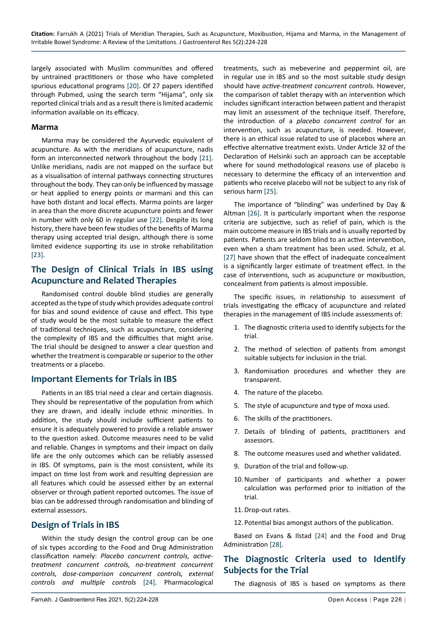largely associated with Muslim communities and offered by untrained practitioners or those who have completed spurious educational programs [\[20](#page-3-12)]. Of 27 papers identified through Pubmed, using the search term "Hijama", only six reported clinical trials and as a result there is limited academic information available on its efficacy.

#### **Marma**

Marma may be considered the Ayurvedic equivalent of acupuncture. As with the meridians of acupuncture, nadis form an interconnected network throughout the body [[21\]](#page-3-24). Unlike meridians, nadis are not mapped on the surface but as a visualisation of internal pathways connecting structures throughout the body. They can only be influenced by massage or heat applied to energy points or marmani and this can have both distant and local effects. Marma points are larger in area than the more discrete acupuncture points and fewer in number with only 60 in regular use [\[22](#page-3-25)]. Despite its long history, there have been few studies of the benefits of Marma therapy using accepted trial design, although there is some limited evidence supporting its use in stroke rehabilitation [[23\]](#page-3-26).

## **The Design of Clinical Trials in IBS using Acupuncture and Related Therapies**

Randomised control double blind studies are generally accepted as the type of study which provides adequate control for bias and sound evidence of cause and effect. This type of study would be the most suitable to measure the effect of traditional techniques, such as acupuncture, considering the complexity of IBS and the difficulties that might arise. The trial should be designed to answer a clear question and whether the treatment is comparable or superior to the other treatments or a placebo.

## **Important Elements for Trials in IBS**

Patients in an IBS trial need a clear and certain diagnosis. They should be representative of the population from which they are drawn, and ideally include ethnic minorities. In addition, the study should include sufficient patients to ensure it is adequately powered to provide a reliable answer to the question asked. Outcome measures need to be valid and reliable. Changes in symptoms and their impact on daily life are the only outcomes which can be reliably assessed in IBS. Of symptoms, pain is the most consistent, while its impact on time lost from work and resulting depression are all features which could be assessed either by an external observer or through patient reported outcomes. The issue of bias can be addressed through randomisation and blinding of external assessors.

## **Design of Trials in IBS**

Within the study design the control group can be one of six types according to the Food and Drug Administration classification namely: *Placebo concurrent controls, activetreatment concurrent controls, no-treatment concurrent controls, dose-comparison concurrent controls, external controls and multiple controls* [\[24](#page-3-23)]. Pharmacological treatments, such as mebeverine and peppermint oil, are in regular use in IBS and so the most suitable study design should have *active-treatment concurrent controls.* However, the comparison of tablet therapy with an intervention which includes significant interaction between patient and therapist may limit an assessment of the technique itself. Therefore, the introduction of a *placebo concurrent control* for an intervention, such as acupuncture, is needed. However, there is an ethical issue related to use of placebos where an effective alternative treatment exists. Under Article 32 of the Declaration of Helsinki such an approach can be acceptable where for sound methodological reasons use of placebo is necessary to determine the efficacy of an intervention and patients who receive placebo will not be subject to any risk of serious harm [[25](#page-3-20)].

The importance of "blinding" was underlined by Day & Altman [[26\]](#page-3-21). It is particularly important when the response criteria are subjective, such as relief of pain, which is the main outcome measure in IBS trials and is usually reported by patients. Patients are seldom blind to an active intervention, even when a sham treatment has been used. Schulz, et al. [[27\]](#page-3-22) have shown that the effect of inadequate concealment is a significantly larger estimate of treatment effect. In the case of interventions, such as acupuncture or moxibustion, concealment from patients is almost impossible.

The specific issues, in relationship to assessment of trials investigating the efficacy of acupuncture and related therapies in the management of IBS include assessments of:

- 1. The diagnostic criteria used to identify subjects for the trial.
- 2. The method of selection of patients from amongst suitable subjects for inclusion in the trial.
- 3. Randomisation procedures and whether they are transparent.
- 4. The nature of the placebo.
- 5. The style of acupuncture and type of moxa used.
- 6. The skills of the practitioners.
- 7. Details of blinding of patients, practitioners and assessors.
- 8. The outcome measures used and whether validated.
- 9. Duration of the trial and follow-up.
- 10.Number of participants and whether a power calculation was performed prior to initiation of the trial.
- 11.Drop-out rates.
- 12. Potential bias amongst authors of the publication.

Based on Evans & Ilstad [\[24](#page-3-23)] and the Food and Drug Administration [[28\]](#page-4-0).

# **The Diagnostic Criteria used to Identify Subjects for the Trial**

The diagnosis of IBS is based on symptoms as there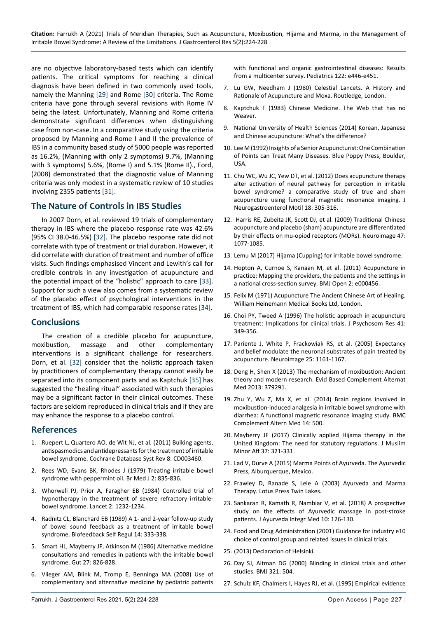are no objective laboratory-based tests which can identify patients. The critical symptoms for reaching a clinical diagnosis have been defined in two commonly used tools, namely the Manning [\[29](#page-4-1)] and Rome [\[30](#page-4-2)] criteria. The Rome criteria have gone through several revisions with Rome IV being the latest. Unfortunately, Manning and Rome criteria demonstrate significant differences when distinguishing case from non-case. In a comparative study using the criteria proposed by Manning and Rome I and II the prevalence of IBS in a community based study of 5000 people was reported as 16.2%, (Manning with only 2 symptoms) 9.7%, (Manning with 3 symptoms) 5.6%, (Rome I) and 5.1% (Rome II)., Ford, (2008) demonstrated that the diagnostic value of Manning criteria was only modest in a systematic review of 10 studies involving 2355 patients [\[31](#page-4-3)].

## **The Nature of Controls in IBS Studies**

In 2007 Dorn, et al. reviewed 19 trials of complementary therapy in IBS where the placebo response rate was 42.6% (95% CI 38.0-46.5%) [[32\]](#page-4-4). The placebo response rate did not correlate with type of treatment or trial duration. However, it did correlate with duration of treatment and number of office visits. Such findings emphasised Vincent and Lewith's call for credible controls in any investigation of acupuncture and the potential impact of the "holistic" approach to care [[33\]](#page-4-5). Support for such a view also comes from a systematic review of the placebo effect of psychological interventions in the treatment of IBS, which had comparable response rates [[34](#page-4-6)].

## **Conclusions**

The creation of a credible placebo for acupuncture, moxibustion, massage and other complementary interventions is a significant challenge for researchers. Dorn, et al. [\[32](#page-4-4)] consider that the holistic approach taken by practitioners of complementary therapy cannot easily be separated into its component parts and as Kaptchuk [[35](#page-4-7)] has suggested the "healing ritual" associated with such therapies may be a significant factor in their clinical outcomes. These factors are seldom reproduced in clinical trials and if they are may enhance the response to a placebo control.

## **References**

- <span id="page-3-0"></span>1. [Ruepert L, Quartero AO, de Wit NJ, et al. \(2011\) Bulking agents,](https://pubmed.ncbi.nlm.nih.gov/21833945/)  [antispasmodics and antidepressants for the treatment of irritable](https://pubmed.ncbi.nlm.nih.gov/21833945/)  [bowel syndrome. Cochrane Database Syst Rev 8: CD003460.](https://pubmed.ncbi.nlm.nih.gov/21833945/)
- <span id="page-3-1"></span>2. [Rees WD, Evans BK, Rhodes J \(1979\) Treating irritable bowel](https://pubmed.ncbi.nlm.nih.gov/389344/)  [syndrome with peppermint oil. Br Med J 2: 835-836.](https://pubmed.ncbi.nlm.nih.gov/389344/)
- <span id="page-3-2"></span>3. [Whorwell PJ, Prior A, Faragher EB \(1984\) Controlled trial of](https://pubmed.ncbi.nlm.nih.gov/6150275/)  [hypnotherapy in the treatment of severe refractory irritable](https://pubmed.ncbi.nlm.nih.gov/6150275/)[bowel syndrome. Lancet 2: 1232-1234.](https://pubmed.ncbi.nlm.nih.gov/6150275/)
- <span id="page-3-3"></span>4. [Radnitz CL, Blanchard EB \(1989\) A 1- and 2-year follow-up study](https://pubmed.ncbi.nlm.nih.gov/2631973/)  [of bowel sound feedback as a treatment of irritable bowel](https://pubmed.ncbi.nlm.nih.gov/2631973/)  [syndrome. Biofeedback Self Regul 14: 333-338.](https://pubmed.ncbi.nlm.nih.gov/2631973/)
- <span id="page-3-4"></span>5. [Smart HL, Mayberry JF, Atkinson M \(1986\) Alternative medicine](https://pubmed.ncbi.nlm.nih.gov/3755416/)  [consultations and remedies in patients with the irritable bowel](https://pubmed.ncbi.nlm.nih.gov/3755416/)  [syndrome. Gut 27: 826-828.](https://pubmed.ncbi.nlm.nih.gov/3755416/)
- <span id="page-3-5"></span>6. [Vlieger AM, Blink M, Tromp E, Benninga MA \(2008\) Use of](https://pubmed.ncbi.nlm.nih.gov/18662934/)  [complementary and alternative medicine by pediatric patients](https://pubmed.ncbi.nlm.nih.gov/18662934/)

[with functional and organic gastrointestinal diseases: Results](https://pubmed.ncbi.nlm.nih.gov/18662934/)  [from a multicenter survey. Pediatrics 122: e446-e451.](https://pubmed.ncbi.nlm.nih.gov/18662934/)

- <span id="page-3-6"></span>7. Lu GW, Needham J (1980) Celestial Lancets. A History and Rationale of Acupuncture and Moxa. Routledge, London.
- <span id="page-3-7"></span>8. Kaptchuk T (1983) Chinese Medicine. The Web that has no Weaver.
- <span id="page-3-13"></span>9. National University of Health Sciences (2014) Korean, Japanese and Chinese acupuncture: What's the difference?
- <span id="page-3-14"></span>10. Lee M (1992) Insights of a Senior Acupuncturist: One Combination of Points can Treat Many Diseases. Blue Poppy Press, Boulder, USA.
- <span id="page-3-15"></span>11. [Chu WC, Wu JC, Yew DT, et al. \(2012\) Does acupuncture therapy](https://pubmed.ncbi.nlm.nih.gov/22837879/)  [alter activation of neural pathway for perception in irritable](https://pubmed.ncbi.nlm.nih.gov/22837879/)  [bowel syndrome? a comparative study of true and sham](https://pubmed.ncbi.nlm.nih.gov/22837879/)  [acupuncture using functional magnetic resonance imaging. J](https://pubmed.ncbi.nlm.nih.gov/22837879/)  [Neurogastroenterol Motil 18: 305-316.](https://pubmed.ncbi.nlm.nih.gov/22837879/)
- <span id="page-3-16"></span>12. [Harris RE, Zubeita JK, Scott DJ, et al. \(2009\) Traditional Chinese](https://pubmed.ncbi.nlm.nih.gov/19501658/)  [acupuncture and placebo \(sham\) acupuncture are differentiated](https://pubmed.ncbi.nlm.nih.gov/19501658/)  [by their effects on mu-opiod receptors \(MORs\). Neuroimage 47:](https://pubmed.ncbi.nlm.nih.gov/19501658/)  [1077-1085.](https://pubmed.ncbi.nlm.nih.gov/19501658/)
- <span id="page-3-17"></span>13. [Lemu M \(2017\) Hijama \(Cupping\) for irritable bowel syndrome.](http://lemutriangle.blogspot.com/2017/06/hijama-for-irritable-bowel-syndrome.html)
- <span id="page-3-18"></span>14. [Hopton A, Curnoe S, Kanaan M, et al. \(2011\) Acupuncture in](https://bmjopen.bmj.com/content/2/1/e000456)  [practice: Mapping the providers, the patients and the settings in](https://bmjopen.bmj.com/content/2/1/e000456)  [a national cross-section survey. BMJ Open 2: e000456.](https://bmjopen.bmj.com/content/2/1/e000456)
- <span id="page-3-19"></span>15. Felix M (1971) Acupuncture The Ancient Chinese Art of Healing. William Heinemann Medical Books Ltd, London.
- <span id="page-3-8"></span>16. [Choi PY, Tweed A \(1996\) The holistic approach in acupuncture](https://pubmed.ncbi.nlm.nih.gov/8971665/)  [treatment: Implications for clinical trials. J Psychosom Res 41:](https://pubmed.ncbi.nlm.nih.gov/8971665/)  [349-356.](https://pubmed.ncbi.nlm.nih.gov/8971665/)
- <span id="page-3-9"></span>17. [Pariente J, White P, Frackowiak RS, et al. \(2005\) Expectancy](https://pubmed.ncbi.nlm.nih.gov/15850733/)  [and belief modulate the neuronal substrates of pain treated by](https://pubmed.ncbi.nlm.nih.gov/15850733/)  [acupuncture. Neuroimage 25: 1161-1167.](https://pubmed.ncbi.nlm.nih.gov/15850733/)
- <span id="page-3-10"></span>18. [Deng H, Shen X \(2013\) The mechanism of moxibustion: Ancient](https://pubmed.ncbi.nlm.nih.gov/24159344/)  [theory and modern research. Evid Based Complement Alternat](https://pubmed.ncbi.nlm.nih.gov/24159344/)  [Med 2013: 379291.](https://pubmed.ncbi.nlm.nih.gov/24159344/)
- <span id="page-3-11"></span>19. [Zhu Y, Wu Z, Ma X, et al. \(2014\) Brain regions involved in](https://pubmed.ncbi.nlm.nih.gov/25516481/)  [moxibustion-induced analgesia in irritable bowel syndrome with](https://pubmed.ncbi.nlm.nih.gov/25516481/)  [diarrhea: A functional magnetic resonance imaging study. BMC](https://pubmed.ncbi.nlm.nih.gov/25516481/)  [Complement Altern Med 14: 500.](https://pubmed.ncbi.nlm.nih.gov/25516481/)
- <span id="page-3-12"></span>20. [Mayberry JF \(2017\) Clinically applied Hijama therapy in the](https://www.tandfonline.com/doi/citedby/10.1080/13602004.2017.1384666?scroll=top&needAccess=true)  [United Kingdom: The need for statutory regulations. J Muslim](https://www.tandfonline.com/doi/citedby/10.1080/13602004.2017.1384666?scroll=top&needAccess=true)  [Minor Aff 37: 321-331.](https://www.tandfonline.com/doi/citedby/10.1080/13602004.2017.1384666?scroll=top&needAccess=true)
- <span id="page-3-24"></span>21. Lad V, Durve A (2015) Marma Points of Ayurveda. The Ayurvedic Press, Alburquerque, Mexico.
- <span id="page-3-25"></span>22. Frawley D, Ranade S, Lele A (2003) Ayurveda and Marma Therapy. Lotus Press Twin Lakes.
- <span id="page-3-26"></span>23. [Sankaran R, Kamath R, Nambiar V, et al. \(2018\) A prospective](https://pubmed.ncbi.nlm.nih.gov/30579676/)  [study on the effects of Ayurvedic massage in post-stroke](https://pubmed.ncbi.nlm.nih.gov/30579676/)  [patients. J Ayurveda Integr Med 10: 126-130.](https://pubmed.ncbi.nlm.nih.gov/30579676/)
- <span id="page-3-23"></span>24. [Food and Drug Administration \(2001\) Guidance for industry e10](https://www.fda.gov/media/71349/download)  [choice of control group and related issues in clinical trials.](https://www.fda.gov/media/71349/download)
- <span id="page-3-20"></span>25. (2013) Declaration of Helsinki.
- <span id="page-3-21"></span>26. [Day SJ, Altman DG \(2000\) Blinding in clinical trials and other](https://www.bmj.com/content/321/7259/504)  [studies. BMJ 321: 504.](https://www.bmj.com/content/321/7259/504)
- <span id="page-3-22"></span>27. [Schulz KF, Chalmers I, Hayes RJ, et al. \(1995\) Empirical evidence](https://pubmed.ncbi.nlm.nih.gov/7823387/)